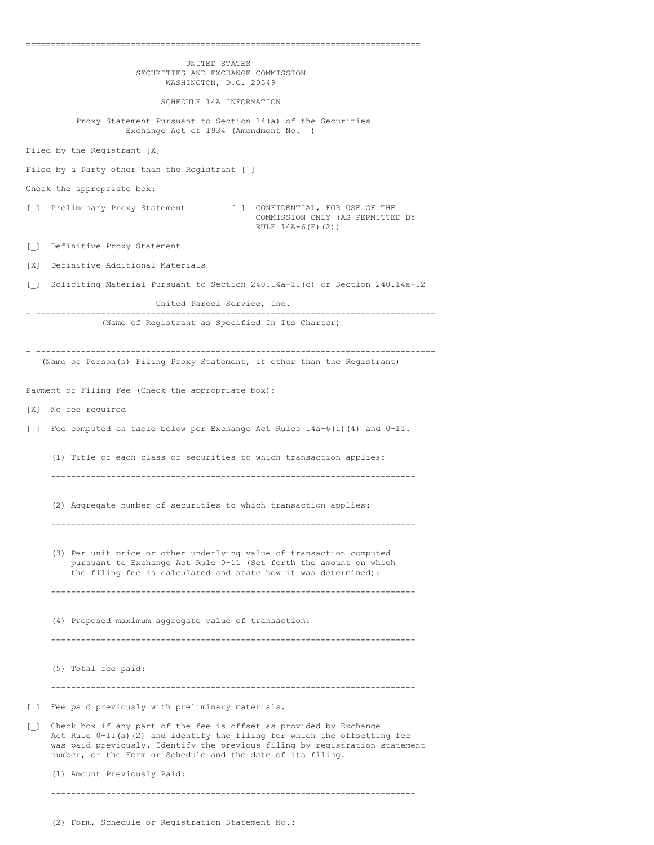|                                   | UNITED STATES<br>SECURITIES AND EXCHANGE COMMISSION<br>WASHINGTON, D.C. 20549                                                                                                                                                                                                                   |
|-----------------------------------|-------------------------------------------------------------------------------------------------------------------------------------------------------------------------------------------------------------------------------------------------------------------------------------------------|
|                                   | SCHEDULE 14A INFORMATION                                                                                                                                                                                                                                                                        |
|                                   | Proxy Statement Pursuant to Section 14(a) of the Securities<br>Exchange Act of 1934 (Amendment No. )                                                                                                                                                                                            |
|                                   | Filed by the Registrant [X]                                                                                                                                                                                                                                                                     |
|                                   | Filed by a Party other than the Registrant [ ]                                                                                                                                                                                                                                                  |
|                                   | Check the appropriate box:                                                                                                                                                                                                                                                                      |
| $\Box$                            | Preliminary Proxy Statement<br>[ ] CONFIDENTIAL, FOR USE OF THE<br>COMMISSION ONLY (AS PERMITTED BY<br>RULE $14A-6(E)(2)$                                                                                                                                                                       |
| $\Box$                            | Definitive Proxy Statement                                                                                                                                                                                                                                                                      |
| [X]                               | Definitive Additional Materials                                                                                                                                                                                                                                                                 |
| $\begin{bmatrix} 1 \end{bmatrix}$ | Soliciting Material Pursuant to Section 240.14a-11(c) or Section 240.14a-12                                                                                                                                                                                                                     |
|                                   | United Parcel Service, Inc.                                                                                                                                                                                                                                                                     |
|                                   | -------------------------------<br>(Name of Registrant as Specified In Its Charter)                                                                                                                                                                                                             |
|                                   | (Name of Person(s) Filing Proxy Statement, if other than the Registrant)                                                                                                                                                                                                                        |
|                                   | Payment of Filing Fee (Check the appropriate box):                                                                                                                                                                                                                                              |
|                                   | [X] No fee required                                                                                                                                                                                                                                                                             |
| $\Box$                            | Fee computed on table below per Exchange Act Rules $14a-6(i)$ (4) and $0-11$ .                                                                                                                                                                                                                  |
|                                   | (1) Title of each class of securities to which transaction applies:                                                                                                                                                                                                                             |
|                                   | (2) Aggregate number of securities to which transaction applies:                                                                                                                                                                                                                                |
|                                   | (3) Per unit price or other underlying value of transaction computed<br>pursuant to Exchange Act Rule 0-11 (Set forth the amount on which<br>the filing fee is calculated and state how it was determined):                                                                                     |
|                                   | (4) Proposed maximum aggregate value of transaction:                                                                                                                                                                                                                                            |
|                                   | (5) Total fee paid:                                                                                                                                                                                                                                                                             |
| $\begin{bmatrix} \end{bmatrix}$   | Fee paid previously with preliminary materials.                                                                                                                                                                                                                                                 |
| $\begin{bmatrix} \end{bmatrix}$   | Check box if any part of the fee is offset as provided by Exchange<br>Act Rule $0-11(a)$ (2) and identify the filing for which the offsetting fee<br>was paid previously. Identify the previous filing by registration statement<br>number, or the Form or Schedule and the date of its filing. |
|                                   | (1) Amount Previously Paid:                                                                                                                                                                                                                                                                     |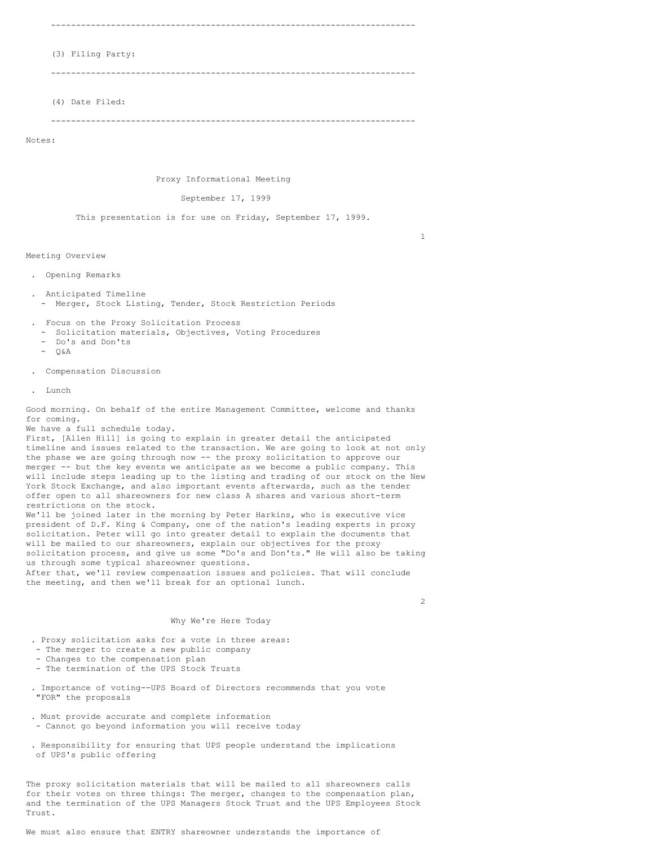-------------------------------------------------------------------------

### (3) Filing Party:

-------------------------------------------------------------------------

(4) Date Filed:

-------------------------------------------------------------------------

Notes:

Proxy Informational Meeting

September 17, 1999

This presentation is for use on Friday, September 17, 1999.

Meeting Overview

- . Opening Remarks
- . Anticipated Timeline
	- Merger, Stock Listing, Tender, Stock Restriction Periods
- . Focus on the Proxy Solicitation Process
- Solicitation materials, Objectives, Voting Procedures
- Do's and Don'ts
- $O & A$
- . Compensation Discussion
- . Lunch

Good morning. On behalf of the entire Management Committee, welcome and thanks for coming.

We have a full schedule today.

First, [Allen Hill] is going to explain in greater detail the anticipated timeline and issues related to the transaction. We are going to look at not only the phase we are going through now -- the proxy solicitation to approve our merger -- but the key events we anticipate as we become a public company. This will include steps leading up to the listing and trading of our stock on the New York Stock Exchange, and also important events afterwards, such as the tender offer open to all shareowners for new class A shares and various short-term restrictions on the stock.

We'll be joined later in the morning by Peter Harkins, who is executive vice president of D.F. King & Company, one of the nation's leading experts in proxy solicitation. Peter will go into greater detail to explain the documents that will be mailed to our shareowners, explain our objectives for the proxy solicitation process, and give us some "Do's and Don'ts." He will also be taking us through some typical shareowner questions.

After that, we'll review compensation issues and policies. That will conclude the meeting, and then we'll break for an optional lunch.

### Why We're Here Today

 $\mathfrak{D}$ 

1

# . Proxy solicitation asks for a vote in three areas:

- The merger to create a new public company
- 
- Changes to the compensation plan
- The termination of the UPS Stock Trusts
- . Importance of voting--UPS Board of Directors recommends that you vote "FOR" the proposals
- . Must provide accurate and complete information
- Cannot go beyond information you will receive today
- . Responsibility for ensuring that UPS people understand the implications of UPS's public offering

The proxy solicitation materials that will be mailed to all shareowners calls for their votes on three things: The merger, changes to the compensation plan, and the termination of the UPS Managers Stock Trust and the UPS Employees Stock Trust.

We must also ensure that ENTRY shareowner understands the importance of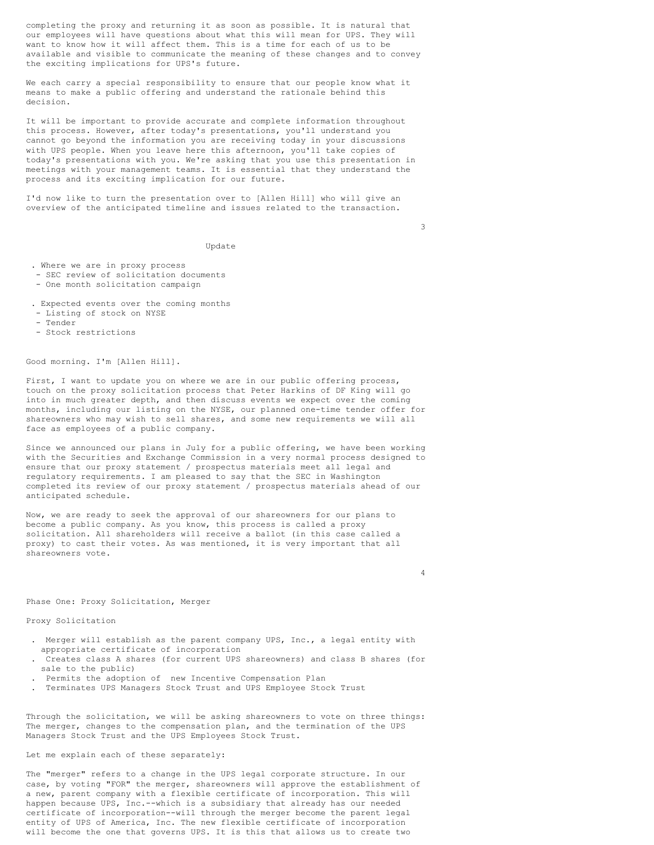completing the proxy and returning it as soon as possible. It is natural that our employees will have questions about what this will mean for UPS. They will want to know how it will affect them. This is a time for each of us to be available and visible to communicate the meaning of these changes and to convey the exciting implications for UPS's future.

We each carry a special responsibility to ensure that our people know what it means to make a public offering and understand the rationale behind this decision.

It will be important to provide accurate and complete information throughout this process. However, after today's presentations, you'll understand you cannot go beyond the information you are receiving today in your discussions with UPS people. When you leave here this afternoon, you'll take copies of today's presentations with you. We're asking that you use this presentation in meetings with your management teams. It is essential that they understand the process and its exciting implication for our future.

I'd now like to turn the presentation over to [Allen Hill] who will give an overview of the anticipated timeline and issues related to the transaction.

3

Update

- . Where we are in proxy process
- SEC review of solicitation documents
- One month solicitation campaign
- . Expected events over the coming months
- Listing of stock on NYSE
- Tender
- Stock restrictions

Good morning. I'm [Allen Hill].

First, I want to update you on where we are in our public offering process, touch on the proxy solicitation process that Peter Harkins of DF King will go into in much greater depth, and then discuss events we expect over the coming months, including our listing on the NYSE, our planned one-time tender offer for shareowners who may wish to sell shares, and some new requirements we will all face as employees of a public company.

Since we announced our plans in July for a public offering, we have been working with the Securities and Exchange Commission in a very normal process designed to ensure that our proxy statement / prospectus materials meet all legal and regulatory requirements. I am pleased to say that the SEC in Washington completed its review of our proxy statement / prospectus materials ahead of our anticipated schedule.

Now, we are ready to seek the approval of our shareowners for our plans to become a public company. As you know, this process is called a proxy solicitation. All shareholders will receive a ballot (in this case called a proxy) to cast their votes. As was mentioned, it is very important that all shareowners vote.

4

#### Phase One: Proxy Solicitation, Merger

Proxy Solicitation

- . Merger will establish as the parent company UPS, Inc., a legal entity with appropriate certificate of incorporation
- . Creates class A shares (for current UPS shareowners) and class B shares (for sale to the public)
- . Permits the adoption of new Incentive Compensation Plan
- . Terminates UPS Managers Stock Trust and UPS Employee Stock Trust

Through the solicitation, we will be asking shareowners to vote on three things: The merger, changes to the compensation plan, and the termination of the UPS Managers Stock Trust and the UPS Employees Stock Trust.

# Let me explain each of these separately:

The "merger" refers to a change in the UPS legal corporate structure. In our case, by voting "FOR" the merger, shareowners will approve the establishment of a new, parent company with a flexible certificate of incorporation. This will happen because UPS, Inc.--which is a subsidiary that already has our needed certificate of incorporation--will through the merger become the parent legal entity of UPS of America, Inc. The new flexible certificate of incorporation will become the one that governs UPS. It is this that allows us to create two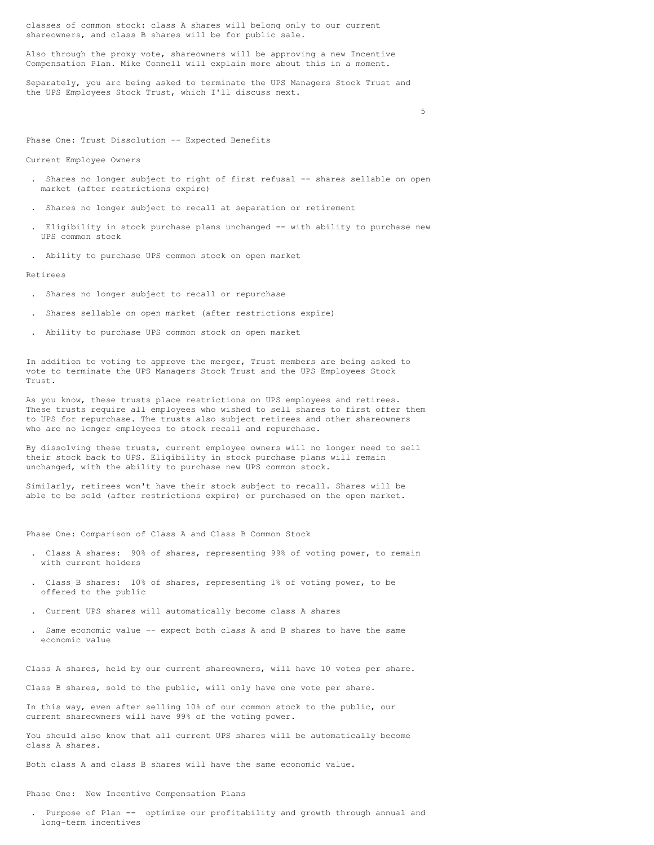classes of common stock: class A shares will belong only to our current shareowners, and class B shares will be for public sale.

Also through the proxy vote, shareowners will be approving a new Incentive Compensation Plan. Mike Connell will explain more about this in a moment.

Separately, you arc being asked to terminate the UPS Managers Stock Trust and the UPS Employees Stock Trust, which I'll discuss next.

5

Phase One: Trust Dissolution -- Expected Benefits

Current Employee Owners

- . Shares no longer subject to right of first refusal -- shares sellable on open market (after restrictions expire)
- . Shares no longer subject to recall at separation or retirement
- . Eligibility in stock purchase plans unchanged -- with ability to purchase new UPS common stock
- . Ability to purchase UPS common stock on open market

Retirees

- . Shares no longer subject to recall or repurchase
- . Shares sellable on open market (after restrictions expire)
- . Ability to purchase UPS common stock on open market

In addition to voting to approve the merger, Trust members are being asked to vote to terminate the UPS Managers Stock Trust and the UPS Employees Stock Trust.

As you know, these trusts place restrictions on UPS employees and retirees. These trusts require all employees who wished to sell shares to first offer them to UPS for repurchase. The trusts also subject retirees and other shareowners who are no longer employees to stock recall and repurchase.

By dissolving these trusts, current employee owners will no longer need to sell their stock back to UPS. Eligibility in stock purchase plans will remain unchanged, with the ability to purchase new UPS common stock.

Similarly, retirees won't have their stock subject to recall. Shares will be able to be sold (after restrictions expire) or purchased on the open market.

Phase One: Comparison of Class A and Class B Common Stock

- . Class A shares: 90% of shares, representing 99% of voting power, to remain with current holders
- . Class B shares: 10% of shares, representing 1% of voting power, to be offered to the public
- . Current UPS shares will automatically become class A shares
- . Same economic value -- expect both class A and B shares to have the same economic value

Class A shares, held by our current shareowners, will have 10 votes per share.

Class B shares, sold to the public, will only have one vote per share.

In this way, even after selling 10% of our common stock to the public, our current shareowners will have 99% of the voting power.

You should also know that all current UPS shares will be automatically become class A shares.

Both class A and class B shares will have the same economic value.

Phase One: New Incentive Compensation Plans

. Purpose of Plan -- optimize our profitability and growth through annual and long-term incentives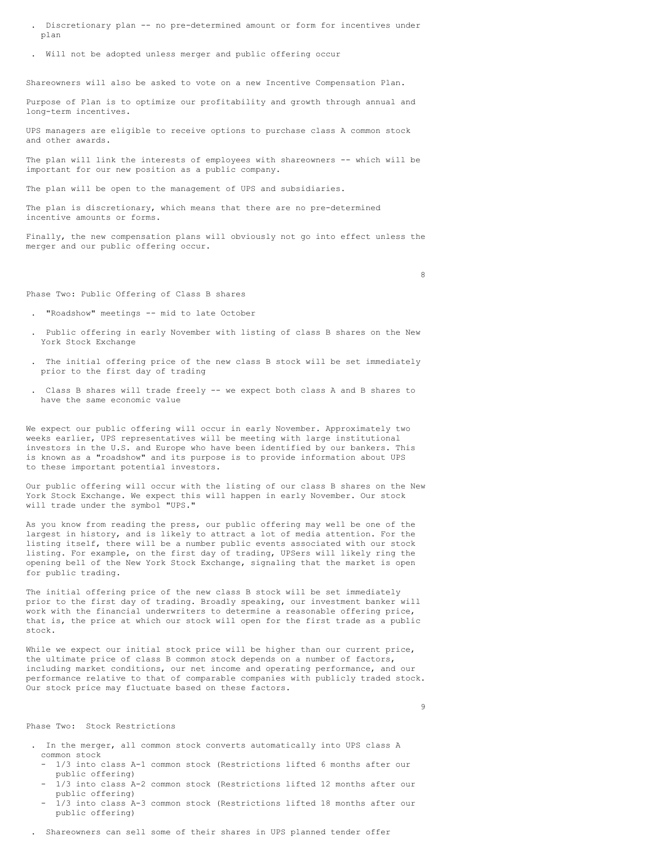- . Discretionary plan -- no pre-determined amount or form for incentives under plan
- . Will not be adopted unless merger and public offering occur

Shareowners will also be asked to vote on a new Incentive Compensation Plan.

Purpose of Plan is to optimize our profitability and growth through annual and long-term incentives.

UPS managers are eligible to receive options to purchase class A common stock and other awards.

The plan will link the interests of employees with shareowners -- which will be important for our new position as a public company.

The plan will be open to the management of UPS and subsidiaries.

The plan is discretionary, which means that there are no pre-determined incentive amounts or forms.

Finally, the new compensation plans will obviously not go into effect unless the merger and our public offering occur.

8

Phase Two: Public Offering of Class B shares

- . "Roadshow" meetings -- mid to late October
- . Public offering in early November with listing of class B shares on the New York Stock Exchange
- . The initial offering price of the new class B stock will be set immediately prior to the first day of trading
- . Class B shares will trade freely -- we expect both class A and B shares to have the same economic value

We expect our public offering will occur in early November. Approximately two weeks earlier, UPS representatives will be meeting with large institutional investors in the U.S. and Europe who have been identified by our bankers. This is known as a "roadshow" and its purpose is to provide information about UPS to these important potential investors.

Our public offering will occur with the listing of our class B shares on the New York Stock Exchange. We expect this will happen in early November. Our stock will trade under the symbol "UPS."

As you know from reading the press, our public offering may well be one of the largest in history, and is likely to attract a lot of media attention. For the listing itself, there will be a number public events associated with our stock listing. For example, on the first day of trading, UPSers will likely ring the opening bell of the New York Stock Exchange, signaling that the market is open for public trading.

The initial offering price of the new class B stock will be set immediately prior to the first day of trading. Broadly speaking, our investment banker will work with the financial underwriters to determine a reasonable offering price, that is, the price at which our stock will open for the first trade as a public stock.

While we expect our initial stock price will be higher than our current price, the ultimate price of class B common stock depends on a number of factors, including market conditions, our net income and operating performance, and our performance relative to that of comparable companies with publicly traded stock. Our stock price may fluctuate based on these factors.

9

### Phase Two: Stock Restrictions

- . In the merger, all common stock converts automatically into UPS class A common stock
	- 1/3 into class A-1 common stock (Restrictions lifted 6 months after our public offering)
	- 1/3 into class A-2 common stock (Restrictions lifted 12 months after our public offering)
	- 1/3 into class A-3 common stock (Restrictions lifted 18 months after our public offering)
- . Shareowners can sell some of their shares in UPS planned tender offer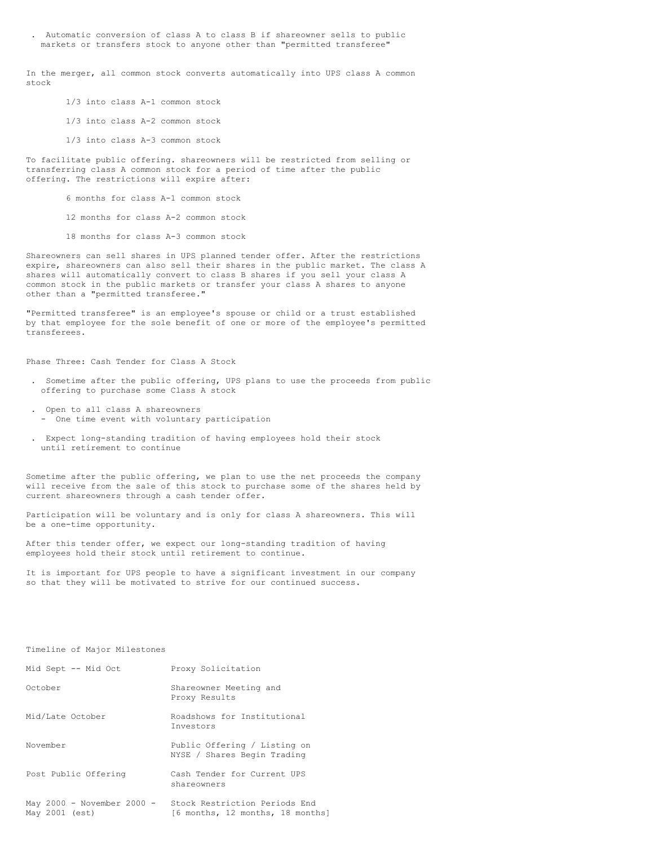. Automatic conversion of class A to class B if shareowner sells to public markets or transfers stock to anyone other than "permitted transferee"

In the merger, all common stock converts automatically into UPS class A common stock

- 1/3 into class A-1 common stock
- 1/3 into class A-2 common stock
- 1/3 into class A-3 common stock

To facilitate public offering. shareowners will be restricted from selling or transferring class A common stock for a period of time after the public offering. The restrictions will expire after:

- 6 months for class A-1 common stock
- 12 months for class A-2 common stock
- 18 months for class A-3 common stock

Shareowners can sell shares in UPS planned tender offer. After the restrictions expire, shareowners can also sell their shares in the public market. The class A shares will automatically convert to class B shares if you sell your class A common stock in the public markets or transfer your class A shares to anyone other than a "permitted transferee."

"Permitted transferee" is an employee's spouse or child or a trust established by that employee for the sole benefit of one or more of the employee's permitted transferees.

Phase Three: Cash Tender for Class A Stock

- . Sometime after the public offering, UPS plans to use the proceeds from public offering to purchase some Class A stock
- . Open to all class A shareowners - One time event with voluntary participation
- . Expect long-standing tradition of having employees hold their stock until retirement to continue

Sometime after the public offering, we plan to use the net proceeds the company will receive from the sale of this stock to purchase some of the shares held by current shareowners through a cash tender offer.

Participation will be voluntary and is only for class A shareowners. This will be a one-time opportunity.

After this tender offer, we expect our long-standing tradition of having employees hold their stock until retirement to continue.

It is important for UPS people to have a significant investment in our company so that they will be motivated to strive for our continued success.

# Timeline of Major Milestones

| Mid Sept -- Mid Oct                          | Proxy Solicitation                                                |
|----------------------------------------------|-------------------------------------------------------------------|
| October                                      | Shareowner Meeting and<br>Proxy Results                           |
| Mid/Late October                             | Roadshows for Institutional<br>Investors                          |
| November                                     | Public Offering / Listing on<br>NYSE / Shares Begin Trading       |
| Post Public Offering                         | Cash Tender for Current UPS<br>shareowners                        |
| May 2000 - November 2000 -<br>May 2001 (est) | Stock Restriction Periods End<br>[6 months, 12 months, 18 months] |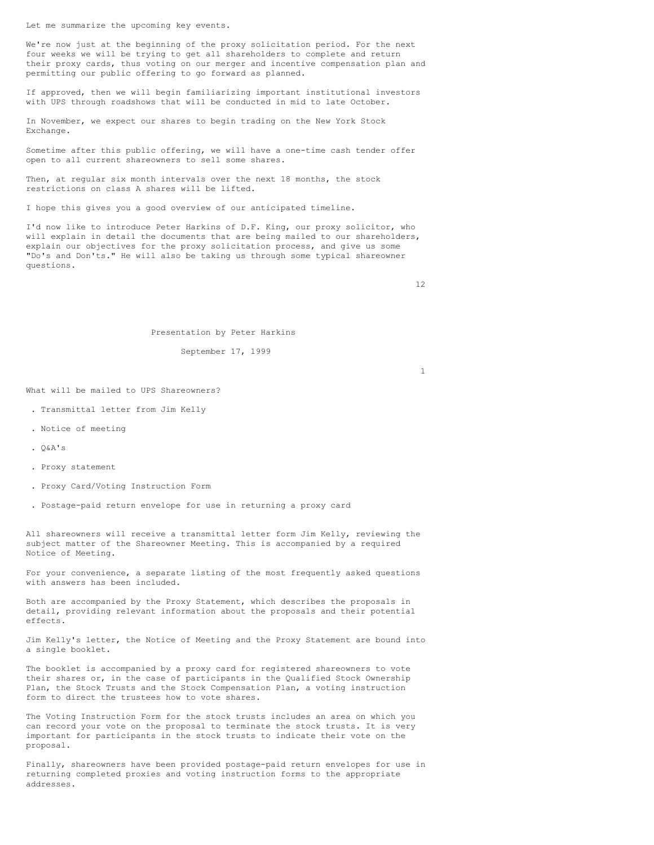Let me summarize the upcoming key events.

We're now just at the beginning of the proxy solicitation period. For the next four weeks we will be trying to get all shareholders to complete and return their proxy cards, thus voting on our merger and incentive compensation plan and permitting our public offering to go forward as planned.

If approved, then we will begin familiarizing important institutional investors with UPS through roadshows that will be conducted in mid to late October.

In November, we expect our shares to begin trading on the New York Stock Exchange.

Sometime after this public offering, we will have a one-time cash tender offer open to all current shareowners to sell some shares.

Then, at regular six month intervals over the next 18 months, the stock restrictions on class A shares will be lifted.

I hope this gives you a good overview of our anticipated timeline.

I'd now like to introduce Peter Harkins of D.F. King, our proxy solicitor, who will explain in detail the documents that are being mailed to our shareholders, explain our objectives for the proxy solicitation process, and give us some "Do's and Don'ts." He will also be taking us through some typical shareowner questions.

12

# Presentation by Peter Harkins

September 17, 1999

1

What will be mailed to UPS Shareowners?

- . Transmittal letter from Jim Kelly
- . Notice of meeting
- .  $O&A's$
- . Proxy statement
- . Proxy Card/Voting Instruction Form
- . Postage-paid return envelope for use in returning a proxy card

All shareowners will receive a transmittal letter form Jim Kelly, reviewing the subject matter of the Shareowner Meeting. This is accompanied by a required Notice of Meeting.

For your convenience, a separate listing of the most frequently asked questions with answers has been included.

Both are accompanied by the Proxy Statement, which describes the proposals in detail, providing relevant information about the proposals and their potential effects.

Jim Kelly's letter, the Notice of Meeting and the Proxy Statement are bound into a single booklet.

The booklet is accompanied by a proxy card for registered shareowners to vote their shares or, in the case of participants in the Qualified Stock Ownership Plan, the Stock Trusts and the Stock Compensation Plan, a voting instruction form to direct the trustees how to vote shares.

The Voting Instruction Form for the stock trusts includes an area on which you can record your vote on the proposal to terminate the stock trusts. It is very important for participants in the stock trusts to indicate their vote on the proposal.

Finally, shareowners have been provided postage-paid return envelopes for use in returning completed proxies and voting instruction forms to the appropriate addresses.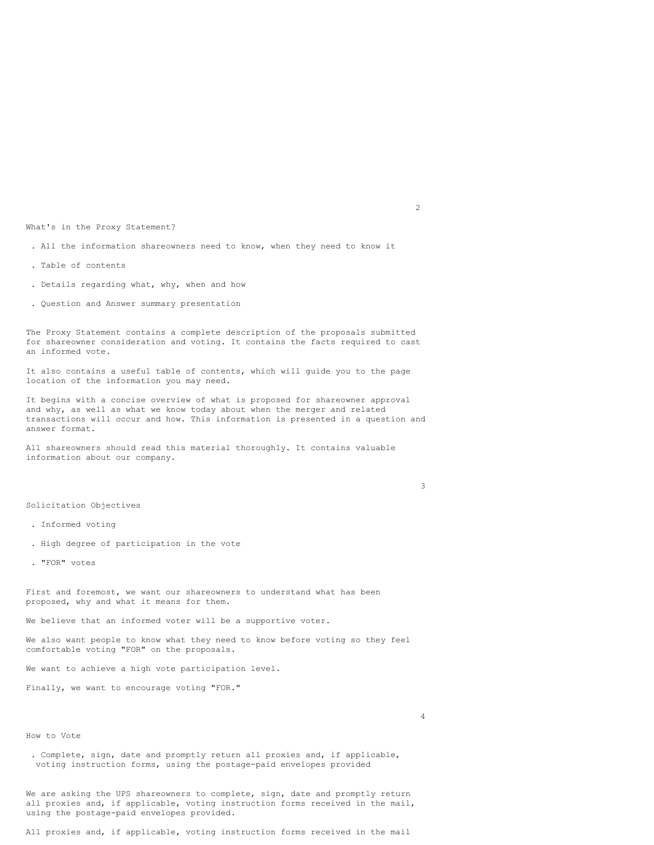What's in the Proxy Statement?

- . All the information shareowners need to know, when they need to know it
- . Table of contents
- . Details regarding what, why, when and how
- . Question and Answer summary presentation

The Proxy Statement contains a complete description of the proposals submitted for shareowner consideration and voting. It contains the facts required to cast an informed vote.

It also contains a useful table of contents, which will guide you to the page location of the information you may need.

It begins with a concise overview of what is proposed for shareowner approval and why, as well as what we know today about when the merger and related transactions will occur and how. This information is presented in a question and answer format.

All shareowners should read this material thoroughly. It contains valuable information about our company.

3

4

### Solicitation Objectives

- . Informed voting
- . High degree of participation in the vote
- . "FOR" votes

First and foremost, we want our shareowners to understand what has been proposed, why and what it means for them.

We believe that an informed voter will be a supportive voter.

We also want people to know what they need to know before voting so they feel comfortable voting "FOR" on the proposals.

We want to achieve a high vote participation level.

Finally, we want to encourage voting "FOR."

How to Vote

. Complete, sign, date and promptly return all proxies and, if applicable, voting instruction forms, using the postage-paid envelopes provided

We are asking the UPS shareowners to complete, sign, date and promptly return all proxies and, if applicable, voting instruction forms received in the mail, using the postage-paid envelopes provided.

All proxies and, if applicable, voting instruction forms received in the mail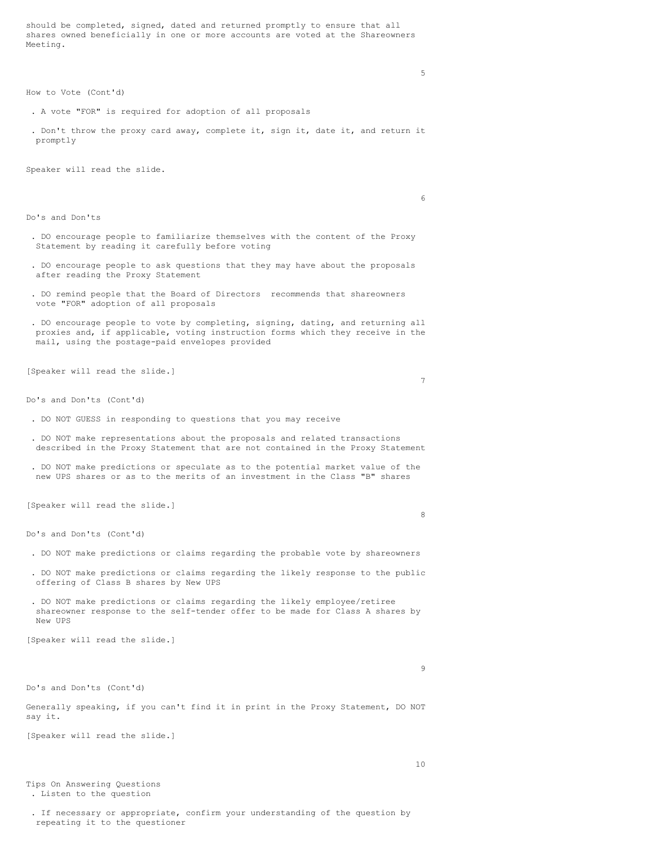should be completed, signed, dated and returned promptly to ensure that all shares owned beneficially in one or more accounts are voted at the Shareowners Meeting.

How to Vote (Cont'd)

- . A vote "FOR" is required for adoption of all proposals
- . Don't throw the proxy card away, complete it, sign it, date it, and return it promptly

Speaker will read the slide.

6

5

Do's and Don'ts

- . DO encourage people to familiarize themselves with the content of the Proxy Statement by reading it carefully before voting
- . DO encourage people to ask questions that they may have about the proposals after reading the Proxy Statement
- . DO remind people that the Board of Directors recommends that shareowners vote "FOR" adoption of all proposals
- . DO encourage people to vote by completing, signing, dating, and returning all proxies and, if applicable, voting instruction forms which they receive in the mail, using the postage-paid envelopes provided

[Speaker will read the slide.]

7

Do's and Don'ts (Cont'd)

- . DO NOT GUESS in responding to questions that you may receive
- . DO NOT make representations about the proposals and related transactions described in the Proxy Statement that are not contained in the Proxy Statement
- . DO NOT make predictions or speculate as to the potential market value of the new UPS shares or as to the merits of an investment in the Class "B" shares

[Speaker will read the slide.]

8

Do's and Don'ts (Cont'd)

- . DO NOT make predictions or claims regarding the probable vote by shareowners
- . DO NOT make predictions or claims regarding the likely response to the public offering of Class B shares by New UPS
- . DO NOT make predictions or claims regarding the likely employee/retiree shareowner response to the self-tender offer to be made for Class A shares by New UPS

[Speaker will read the slide.]

9

Do's and Don'ts (Cont'd)

Generally speaking, if you can't find it in print in the Proxy Statement, DO NOT say it.

[Speaker will read the slide.]

Tips On Answering Questions . Listen to the question

. If necessary or appropriate, confirm your understanding of the question by repeating it to the questioner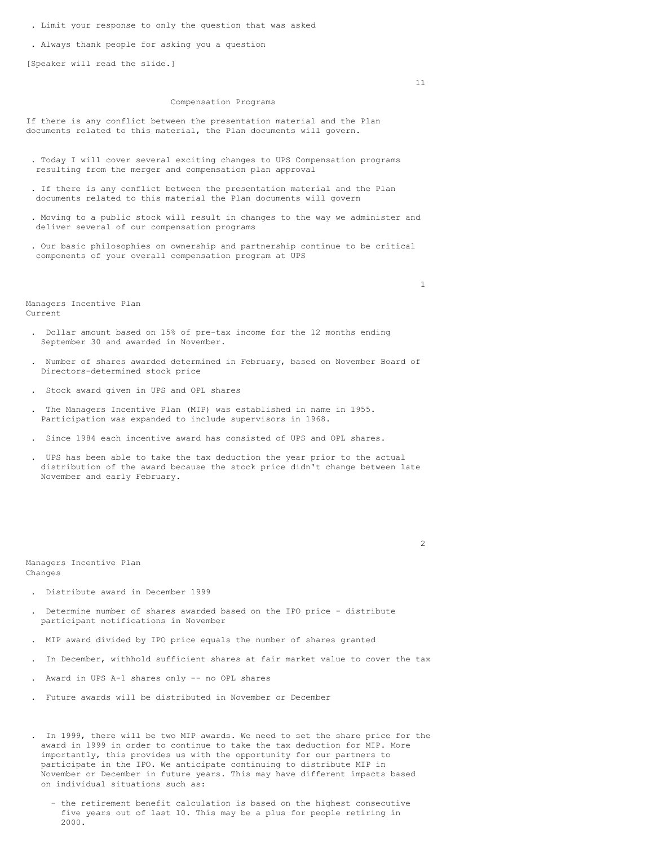- . Limit your response to only the question that was asked
- . Always thank people for asking you a question

[Speaker will read the slide.]

### Compensation Programs

If there is any conflict between the presentation material and the Plan documents related to this material, the Plan documents will govern.

- . Today I will cover several exciting changes to UPS Compensation programs resulting from the merger and compensation plan approval
- . If there is any conflict between the presentation material and the Plan documents related to this material the Plan documents will govern
- . Moving to a public stock will result in changes to the way we administer and deliver several of our compensation programs
- . Our basic philosophies on ownership and partnership continue to be critical components of your overall compensation program at UPS

Managers Incentive Plan Current

- . Dollar amount based on 15% of pre-tax income for the 12 months ending September 30 and awarded in November.
- . Number of shares awarded determined in February, based on November Board of Directors-determined stock price
- . Stock award given in UPS and OPL shares
- . The Managers Incentive Plan (MIP) was established in name in 1955. Participation was expanded to include supervisors in 1968.
- . Since 1984 each incentive award has consisted of UPS and OPL shares.
- . UPS has been able to take the tax deduction the year prior to the actual distribution of the award because the stock price didn't change between late November and early February.

 $\overline{2}$ 

Managers Incentive Plan Changes

- . Distribute award in December 1999
- . Determine number of shares awarded based on the IPO price distribute participant notifications in November
- . MIP award divided by IPO price equals the number of shares granted
- . In December, withhold sufficient shares at fair market value to cover the tax
- . Award in UPS A-1 shares only -- no OPL shares
- . Future awards will be distributed in November or December
- . In 1999, there will be two MIP awards. We need to set the share price for the award in 1999 in order to continue to take the tax deduction for MIP. More importantly, this provides us with the opportunity for our partners to participate in the IPO. We anticipate continuing to distribute MIP in November or December in future years. This may have different impacts based on individual situations such as:
	- the retirement benefit calculation is based on the highest consecutive five years out of last 10. This may be a plus for people retiring in 2000.

11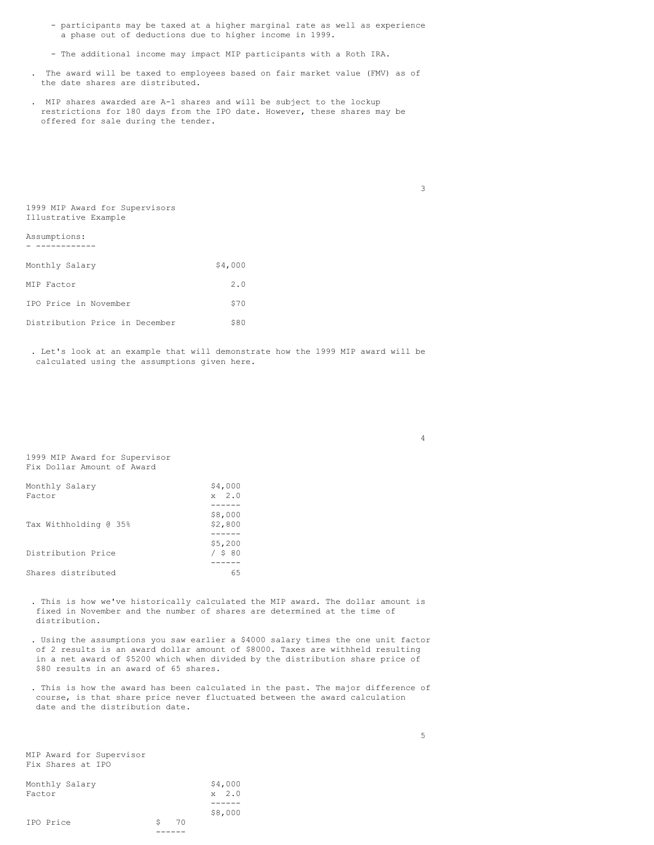- participants may be taxed at a higher marginal rate as well as experience a phase out of deductions due to higher income in 1999.
- The additional income may impact MIP participants with a Roth IRA.
- . The award will be taxed to employees based on fair market value (FMV) as of the date shares are distributed.
- . MIP shares awarded are A-1 shares and will be subject to the lockup restrictions for 180 days from the IPO date. However, these shares may be offered for sale during the tender.

1999 MIP Award for Supervisors Illustrative Example

Assumptions: - ------------

| Monthly Salary                 | \$4,000 |
|--------------------------------|---------|
| MIP Factor                     | 2.0     |
| IPO Price in November          | \$70    |
| Distribution Price in December | \$80    |

. Let's look at an example that will demonstrate how the 1999 MIP award will be calculated using the assumptions given here.

1999 MIP Award for Supervisor Fix Dollar Amount of Award

| Monthly Salary<br>Factor | \$4,000<br>$x \quad 2.0$ |
|--------------------------|--------------------------|
|                          |                          |
| Tax Withholding @ 35%    | \$8,000<br>\$2,800       |
|                          |                          |
| Distribution Price       | \$5,200<br>$/$ \$ 80     |
|                          |                          |
| Shares distributed       | 65                       |

. This is how we've historically calculated the MIP award. The dollar amount is fixed in November and the number of shares are determined at the time of distribution.

- . Using the assumptions you saw earlier a \$4000 salary times the one unit factor of 2 results is an award dollar amount of \$8000. Taxes are withheld resulting in a net award of \$5200 which when divided by the distribution share price of \$80 results in an award of 65 shares.
- . This is how the award has been calculated in the past. The major difference of course, is that share price never fluctuated between the award calculation date and the distribution date.

MIP Award for Supervisor Fix Shares at IPO

| Monthly Salary<br>Factor |    |    | \$4,000<br>$x \quad 2.0$ |
|--------------------------|----|----|--------------------------|
|                          |    |    |                          |
|                          |    |    | \$8,000                  |
| IPO Price                | S. | 70 |                          |
|                          |    |    |                          |

3

4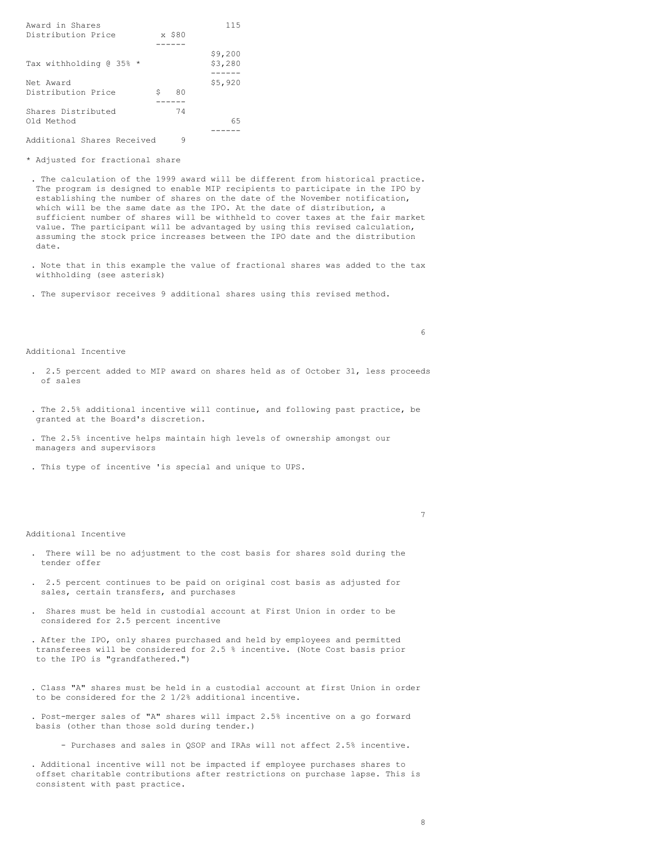|   |    | 115     |
|---|----|---------|
|   |    |         |
|   |    |         |
|   |    | \$9,200 |
|   |    | \$3,280 |
|   |    |         |
|   |    | \$5,920 |
| Ŝ | 80 |         |
|   |    |         |
|   | 74 |         |
|   |    | 65      |
|   |    |         |
|   |    | x \$80  |

Additional Shares Received 9

\* Adjusted for fractional share

. The calculation of the 1999 award will be different from historical practice. The program is designed to enable MIP recipients to participate in the IPO by establishing the number of shares on the date of the November notification, which will be the same date as the IPO. At the date of distribution, a sufficient number of shares will be withheld to cover taxes at the fair market value. The participant will be advantaged by using this revised calculation, assuming the stock price increases between the IPO date and the distribution date.

- . Note that in this example the value of fractional shares was added to the tax withholding (see asterisk)
- . The supervisor receives 9 additional shares using this revised method.

Additional Incentive

- . 2.5 percent added to MIP award on shares held as of October 31, less proceeds of sales
- . The 2.5% additional incentive will continue, and following past practice, be granted at the Board's discretion.
- . The 2.5% incentive helps maintain high levels of ownership amongst our managers and supervisors
- . This type of incentive 'is special and unique to UPS.

#### Additional Incentive

- . There will be no adjustment to the cost basis for shares sold during the tender offer
- . 2.5 percent continues to be paid on original cost basis as adjusted for sales, certain transfers, and purchases
- . Shares must be held in custodial account at First Union in order to be considered for 2.5 percent incentive
- . After the IPO, only shares purchased and held by employees and permitted transferees will be considered for 2.5 % incentive. (Note Cost basis prior to the IPO is "grandfathered.")
- . Class "A" shares must be held in a custodial account at first Union in order to be considered for the 2 1/2% additional incentive.
- . Post-merger sales of "A" shares will impact 2.5% incentive on a go forward basis (other than those sold during tender.)
	- Purchases and sales in QSOP and IRAs will not affect 2.5% incentive.

. Additional incentive will not be impacted if employee purchases shares to offset charitable contributions after restrictions on purchase lapse. This is consistent with past practice.

6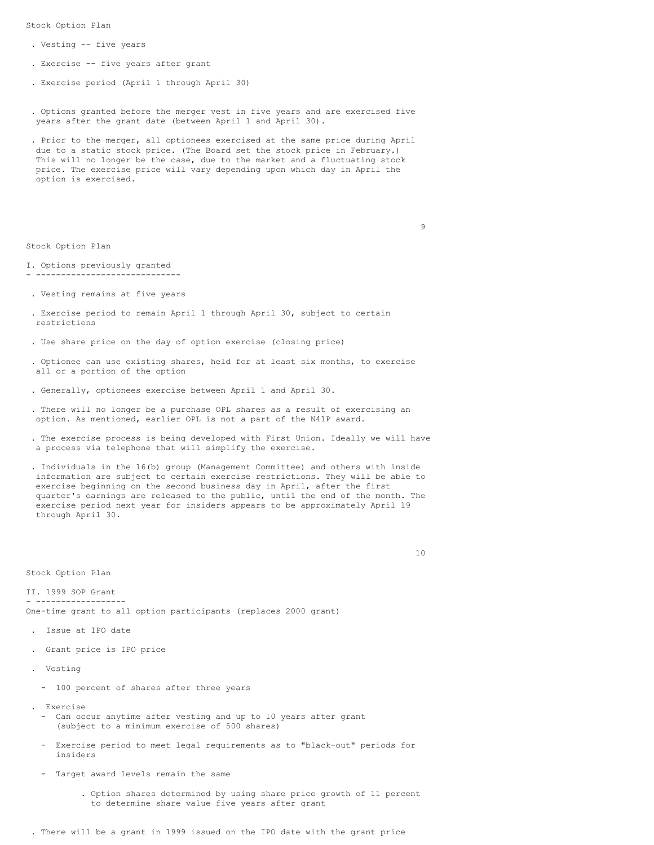Stock Option Plan

- . Vesting -- five years
- . Exercise -- five years after grant
- . Exercise period (April 1 through April 30)
- . Options granted before the merger vest in five years and are exercised five years after the grant date (between April 1 and April 30).
- . Prior to the merger, all optionees exercised at the same price during April due to a static stock price. (The Board set the stock price in February.) This will no longer be the case, due to the market and a fluctuating stock price. The exercise price will vary depending upon which day in April the option is exercised.

Stock Option Plan

- I. Options previously granted - -----------------------------
- . Vesting remains at five years
- . Exercise period to remain April 1 through April 30, subject to certain restrictions
- . Use share price on the day of option exercise (closing price)
- . Optionee can use existing shares, held for at least six months, to exercise all or a portion of the option
- . Generally, optionees exercise between April 1 and April 30.
- . There will no longer be a purchase OPL shares as a result of exercising an option. As mentioned, earlier OPL is not a part of the N41P award.
- . The exercise process is being developed with First Union. Ideally we will have a process via telephone that will simplify the exercise.
- . Individuals in the 16(b) group (Management Committee) and others with inside information are subject to certain exercise restrictions. They will be able to exercise beginning on the second business day in April, after the first quarter's earnings are released to the public, until the end of the month. The exercise period next year for insiders appears to be approximately April 19 through April 30.

10

9

Stock Option Plan

II. 1999 SOP Grant - ------------------ One-time grant to all option participants (replaces 2000 grant)

- . Issue at IPO date
- . Grant price is IPO price
- . Vesting
	- 100 percent of shares after three years
- . Exercise
	- Can occur anytime after vesting and up to 10 years after grant (subject to a minimum exercise of 500 shares)
	- Exercise period to meet legal requirements as to "black-out" periods for insiders
	- Target award levels remain the same
		- . Option shares determined by using share price growth of 11 percent to determine share value five years after grant

. There will be a grant in 1999 issued on the IPO date with the grant price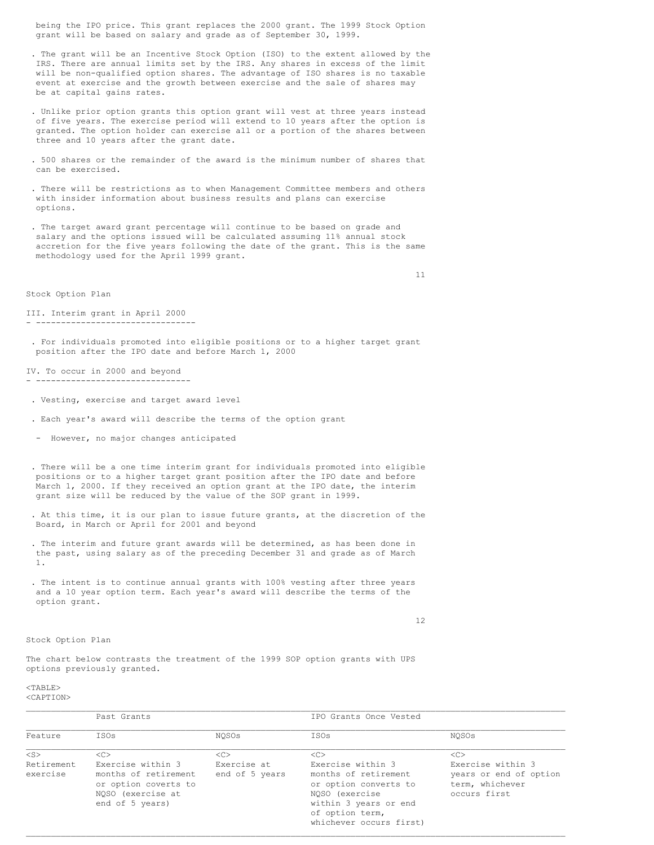being the IPO price. This grant replaces the 2000 grant. The 1999 Stock Option grant will be based on salary and grade as of September 30, 1999.

- . The grant will be an Incentive Stock Option (ISO) to the extent allowed by the IRS. There are annual limits set by the IRS. Any shares in excess of the limit will be non-qualified option shares. The advantage of ISO shares is no taxable event at exercise and the growth between exercise and the sale of shares may be at capital gains rates.
- . Unlike prior option grants this option grant will vest at three years instead of five years. The exercise period will extend to 10 years after the option is granted. The option holder can exercise all or a portion of the shares between three and 10 years after the grant date.
- . 500 shares or the remainder of the award is the minimum number of shares that can be exercised.
- . There will be restrictions as to when Management Committee members and others with insider information about business results and plans can exercise options.
- . The target award grant percentage will continue to be based on grade and salary and the options issued will be calculated assuming 11% annual stock accretion for the five years following the date of the grant. This is the same methodology used for the April 1999 grant.

11

Stock Option Plan

III. Interim grant in April 2000 - --------------------------------

. For individuals promoted into eligible positions or to a higher target grant position after the IPO date and before March 1, 2000

#### IV. To occur in 2000 and beyond - -------------------------------

- . Vesting, exercise and target award level
- . Each year's award will describe the terms of the option grant
- However, no major changes anticipated
- . There will be a one time interim grant for individuals promoted into eligible positions or to a higher target grant position after the IPO date and before March 1, 2000. If they received an option grant at the IPO date, the interim grant size will be reduced by the value of the SOP grant in 1999.
- . At this time, it is our plan to issue future grants, at the discretion of the Board, in March or April for 2001 and beyond
- . The interim and future grant awards will be determined, as has been done in the past, using salary as of the preceding December 31 and grade as of March 1.
- . The intent is to continue annual grants with 100% vesting after three years and a 10 year option term. Each year's award will describe the terms of the option grant.

12

### Stock Option Plan

The chart below contrasts the treatment of the 1999 SOP option grants with UPS options previously granted.

<TABLE> <CAPTION>

|                        | Past Grants                                                                                               |                               | IPO Grants Once Vested                                                                                                                                      |                                                                                |  |
|------------------------|-----------------------------------------------------------------------------------------------------------|-------------------------------|-------------------------------------------------------------------------------------------------------------------------------------------------------------|--------------------------------------------------------------------------------|--|
| Feature                | ISOs                                                                                                      | NOSOs                         | ISOs                                                                                                                                                        | NOSOs                                                                          |  |
| $<$ S $>$              | < <sub></sub>                                                                                             | < <sub></sub>                 | < <sub></sub>                                                                                                                                               | < <sub></sub>                                                                  |  |
| Retirement<br>exercise | Exercise within 3<br>months of retirement<br>or option coverts to<br>NOSO (exercise at<br>end of 5 years) | Exercise at<br>end of 5 years | Exercise within 3<br>months of retirement<br>or option converts to<br>NOSO (exercise<br>within 3 years or end<br>of option term,<br>whichever occurs first) | Exercise within 3<br>years or end of option<br>term, whichever<br>occurs first |  |

 $\mathcal{L}_\mathcal{L} = \mathcal{L}_\mathcal{L} = \mathcal{L}_\mathcal{L} = \mathcal{L}_\mathcal{L} = \mathcal{L}_\mathcal{L} = \mathcal{L}_\mathcal{L} = \mathcal{L}_\mathcal{L} = \mathcal{L}_\mathcal{L} = \mathcal{L}_\mathcal{L} = \mathcal{L}_\mathcal{L} = \mathcal{L}_\mathcal{L} = \mathcal{L}_\mathcal{L} = \mathcal{L}_\mathcal{L} = \mathcal{L}_\mathcal{L} = \mathcal{L}_\mathcal{L} = \mathcal{L}_\mathcal{L} = \mathcal{L}_\mathcal{L}$ 

 $\mathcal{L}_\mathcal{L} = \mathcal{L}_\mathcal{L} = \mathcal{L}_\mathcal{L} = \mathcal{L}_\mathcal{L} = \mathcal{L}_\mathcal{L} = \mathcal{L}_\mathcal{L} = \mathcal{L}_\mathcal{L} = \mathcal{L}_\mathcal{L} = \mathcal{L}_\mathcal{L} = \mathcal{L}_\mathcal{L} = \mathcal{L}_\mathcal{L} = \mathcal{L}_\mathcal{L} = \mathcal{L}_\mathcal{L} = \mathcal{L}_\mathcal{L} = \mathcal{L}_\mathcal{L} = \mathcal{L}_\mathcal{L} = \mathcal{L}_\mathcal{L}$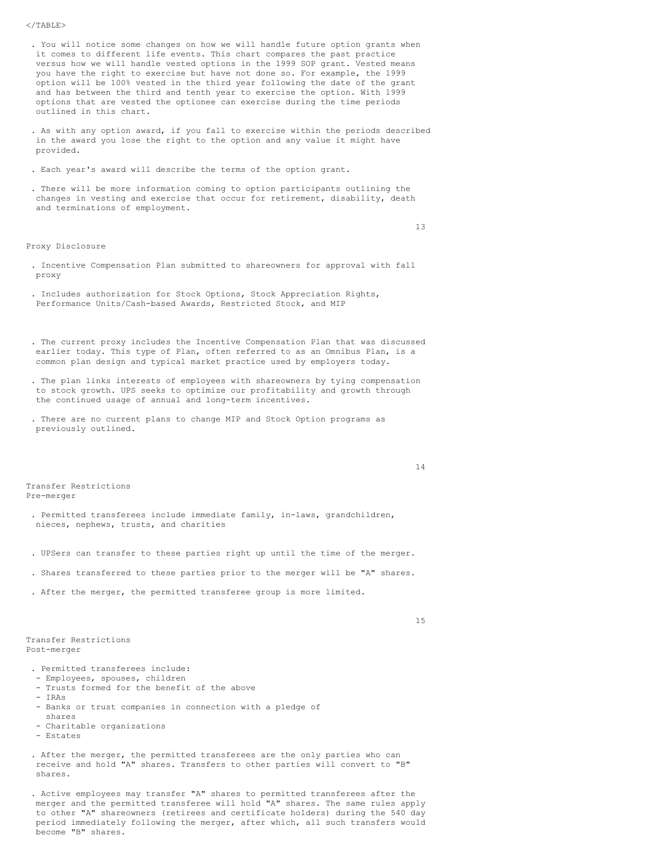### $<$ /TABLE>

- . You will notice some changes on how we will handle future option grants when it comes to different life events. This chart compares the past practice versus how we will handle vested options in the 1999 SOP grant. Vested means you have the right to exercise but have not done so. For example, the 1999 option will be 100% vested in the third year following the date of the grant and has between the third and tenth year to exercise the option. With 1999 options that are vested the optionee can exercise during the time periods outlined in this chart.
- . As with any option award, if you fall to exercise within the periods described in the award you lose the right to the option and any value it might have provided.
- . Each year's award will describe the terms of the option grant.
- . There will be more information coming to option participants outlining the changes in vesting and exercise that occur for retirement, disability, death and terminations of employment.

### Proxy Disclosure

- 13
- . Incentive Compensation Plan submitted to shareowners for approval with fall proxy
- . Includes authorization for Stock Options, Stock Appreciation Rights, Performance Units/Cash-based Awards, Restricted Stock, and MIP
- . The current proxy includes the Incentive Compensation Plan that was discussed earlier today. This type of Plan, often referred to as an Omnibus Plan, is a common plan design and typical market practice used by employers today.
- . The plan links interests of employees with shareowners by tying compensation to stock growth. UPS seeks to optimize our profitability and growth through the continued usage of annual and long-term incentives.
- . There are no current plans to change MIP and Stock Option programs as previously outlined.

Transfer Restrictions Pre-merger

- . Permitted transferees include immediate family, in-laws, grandchildren, nieces, nephews, trusts, and charities
- . UPSers can transfer to these parties right up until the time of the merger.
- . Shares transferred to these parties prior to the merger will be "A" shares.
- . After the merger, the permitted transferee group is more limited.

15

14

Transfer Restrictions Post-merger

- . Permitted transferees include:
- Employees, spouses, children
- Trusts formed for the benefit of the above
- IRAs
- Banks or trust companies in connection with a pledge of shares
- Charitable organizations
- Estates
- . After the merger, the permitted transferees are the only parties who can receive and hold "A" shares. Transfers to other parties will convert to "B" shares.
- . Active employees may transfer "A" shares to permitted transferees after the merger and the permitted transferee will hold "A" shares. The same rules apply to other "A" shareowners (retirees and certificate holders) during the 540 day period immediately following the merger, after which, all such transfers would become "B" shares.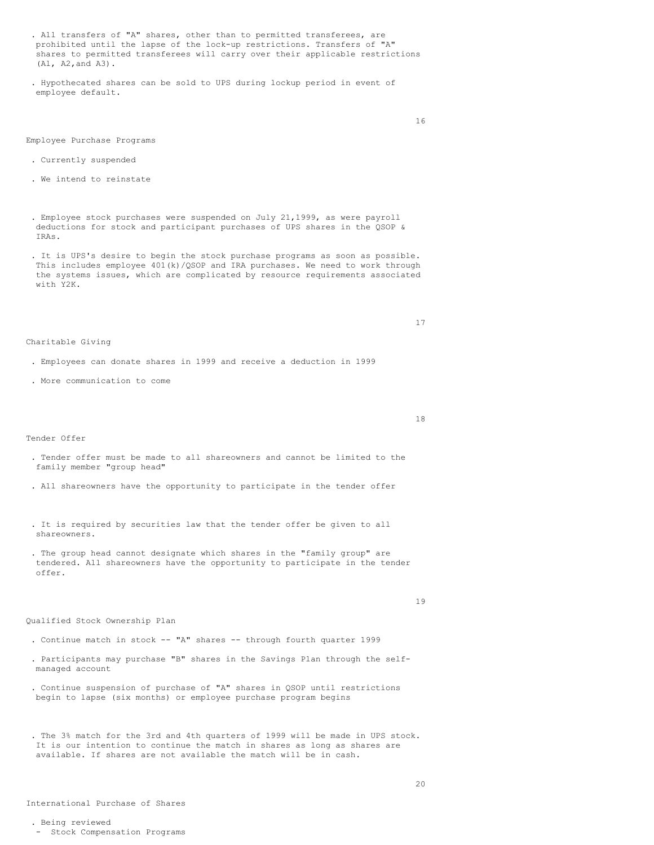- . All transfers of "A" shares, other than to permitted transferees, are prohibited until the lapse of the lock-up restrictions. Transfers of "A" shares to permitted transferees will carry over their applicable restrictions (Al, A2,and A3).
- . Hypothecated shares can be sold to UPS during lockup period in event of employee default.

16

# Employee Purchase Programs

- . Currently suspended
- . We intend to reinstate
- . Employee stock purchases were suspended on July 21,1999, as were payroll deductions for stock and participant purchases of UPS shares in the QSOP & IRAs.
- . It is UPS's desire to begin the stock purchase programs as soon as possible. This includes employee 401(k)/QSOP and IRA purchases. We need to work through the systems issues, which are complicated by resource requirements associated with Y2K.

17

#### Charitable Giving

- . Employees can donate shares in 1999 and receive a deduction in 1999
- . More communication to come

18

# Tender Offer

- . Tender offer must be made to all shareowners and cannot be limited to the family member "group head"
- . All shareowners have the opportunity to participate in the tender offer
- . It is required by securities law that the tender offer be given to all shareowners.
- . The group head cannot designate which shares in the "family group" are tendered. All shareowners have the opportunity to participate in the tender offer.

19

# Qualified Stock Ownership Plan

- . Continue match in stock -- "A" shares -- through fourth quarter 1999
- . Participants may purchase "B" shares in the Savings Plan through the selfmanaged account
- . Continue suspension of purchase of "A" shares in QSOP until restrictions begin to lapse (six months) or employee purchase program begins
- . The 3% match for the 3rd and 4th quarters of 1999 will be made in UPS stock. It is our intention to continue the match in shares as long as shares are available. If shares are not available the match will be in cash.

- Stock Compensation Programs